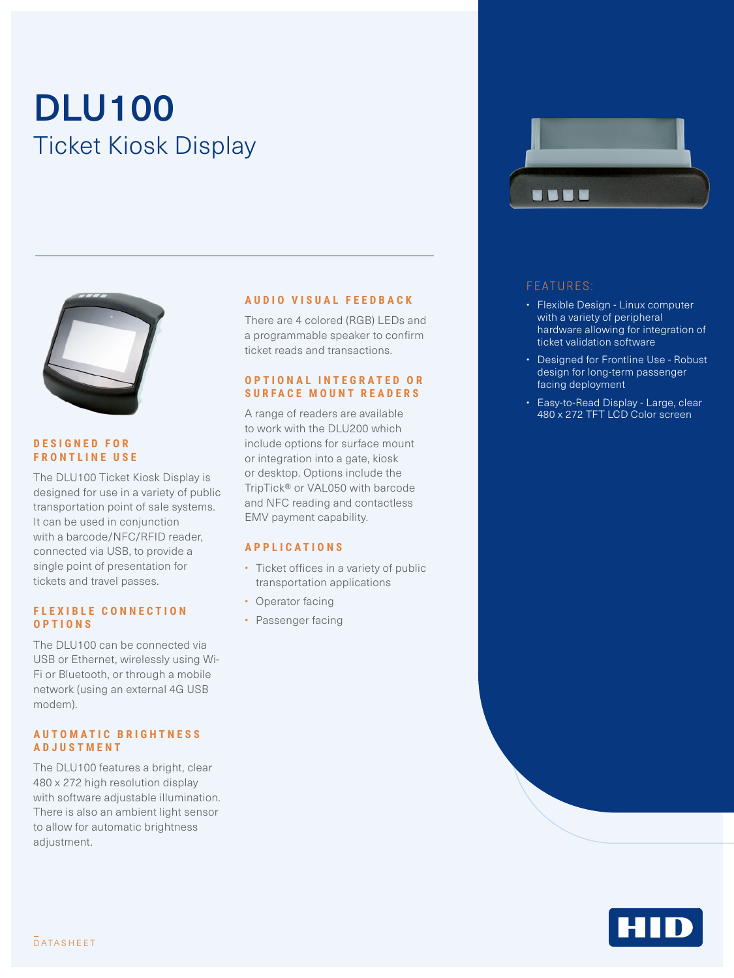# DLU100 Ticket Kiosk Display



#### **D E S I G N E D F O R FRONTLINE USE**

The DLU100 Ticket Kiosk Display is designed for use in a variety of public transportation point of sale systems. It can be used in conjunction with a barcode/NFC/RFID reader, connected via USB, to provide a single point of presentation for tickets and travel passes.

#### **F L E X I B L E C O N N E C T I O N OPTIONS**

The DLU100 can be connected via USB or Ethernet, wirelessly using Wi-Fi or Bluetooth, or through a mobile network (using an external 4G USB modem).

#### **A U T O M A T I C B R I G H T N E S S ADJUSTMENT**

The DLU100 features a bright, clear 480 x 272 high resolution display with software adjustable illumination. There is also an ambient light sensor to allow for automatic brightness adjustment.

#### **AUDIO VISUAL FEEDBACK**

There are 4 colored (RGB) LEDs and a programmable speaker to confirm ticket reads and transactions.

#### **O P T I O N A L I N T E G R A T E D O R S U R F A C E M O U N T R E A D E R S**

A range of readers are available to work with the DLU200 which include options for surface mount or integration into a gate, kiosk or desktop. Options include the TripTick® or VAL050 with barcode and NFC reading and contactless EMV payment capability.

#### **APPLICATIONS**

- Ticket offices in a variety of public transportation applications
- Operator facing
- Passenger facing



#### FEATURES:

- Flexible Design Linux computer with a variety of peripheral hardware allowing for integration of ticket validation software
- Designed for Frontline Use Robust design for long-term passenger facing deployment
- Easy-to-Read Display Large, clear 480 x 272 TFT LCD Color screen